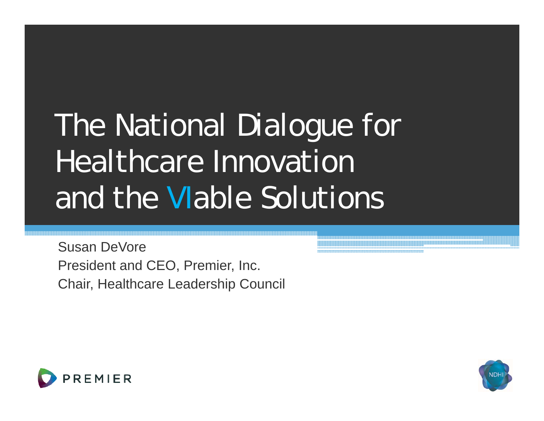# The National Dialogue for Healthcare Innovation and the *VI*able Solutions

Susan DeVorePresident and CEO, Premier, Inc. Chair, Healthcare Leadership Council



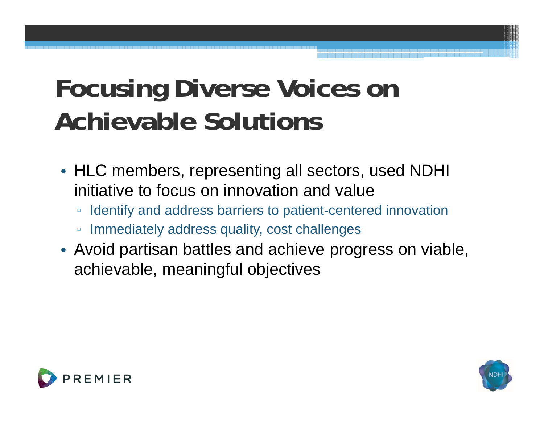### **F i Di V i Focusing Diverse oices on Achievable Solutions**

- HLC members, representing all sectors, used NDHI initiative to focus on innovation and value
	- Identify and address barriers to patient-centered innovation
	- $\Box$ Immediately address quality, cost challenges
- Avoid partisan battles and achieve progress on viable, achievable, meaningful objectives



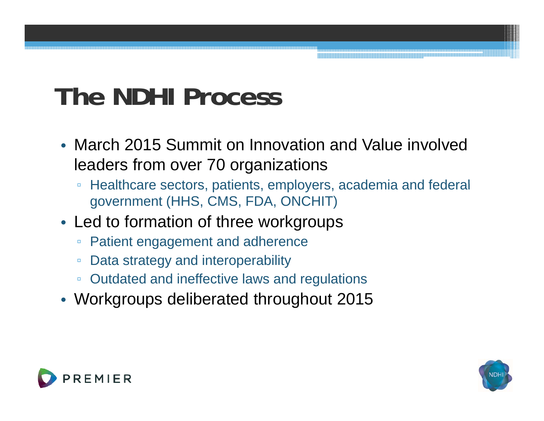### **The NDHI Process**

- March 2015 Summit on Innovation and Value involved leaders from over 70 organizations
	- $\Box$ Healthcare sectors, patients, employers, academia and federal government (HHS, CMS, FDA, ONCHIT)
- Led to formation of three workgroups
	- $\Box$ **Patient engagement and adherence**
	- $\Box$ Data strategy and interoperability
	- Outdated and ineffective laws and regulations
- Workgroups deliberated throughout 2015



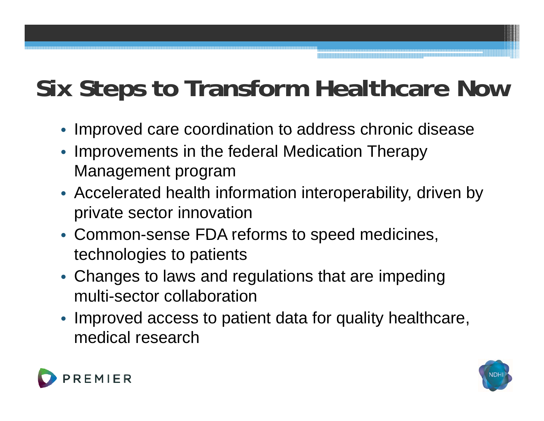#### **Six Steps to Transform Healthcare Now**

- Improved care coordination to address chronic disease
- • Improvements in the federal Medication Therapy Management program
- Accelerated health information interoperability, driven by private sector innovation
- Common-sense FDA reforms to speed medicines, technologies to patients
- Changes to laws and regulations that are impeding multi-sector collaboration
- Improved access to patient data for quality healthcare, medical research